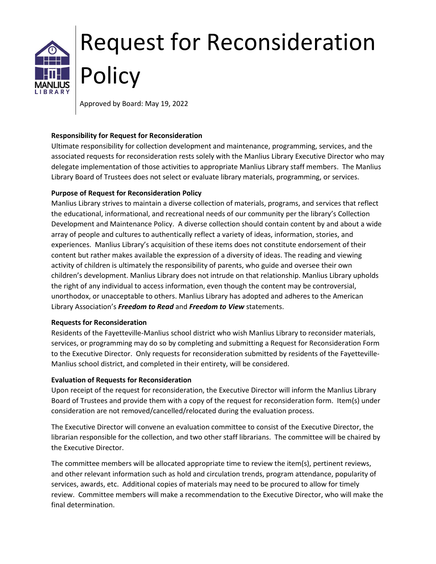# Request for Reconsideration **Policy**

Approved by Board: May 19, 2022

## **Responsibility for Request for Reconsideration**

Ultimate responsibility for collection development and maintenance, programming, services, and the associated requests for reconsideration rests solely with the Manlius Library Executive Director who may delegate implementation of those activities to appropriate Manlius Library staff members. The Manlius Library Board of Trustees does not select or evaluate library materials, programming, or services.

# **Purpose of Request for Reconsideration Policy**

Manlius Library strives to maintain a diverse collection of materials, programs, and services that reflect the educational, informational, and recreational needs of our community per the library's Collection Development and Maintenance Policy. A diverse collection should contain content by and about a wide array of people and cultures to authentically reflect a variety of ideas, information, stories, and experiences. Manlius Library's acquisition of these items does not constitute endorsement of their content but rather makes available the expression of a diversity of ideas. The reading and viewing activity of children is ultimately the responsibility of parents, who guide and oversee their own children's development. Manlius Library does not intrude on that relationship. Manlius Library upholds the right of any individual to access information, even though the content may be controversial, unorthodox, or unacceptable to others. Manlius Library has adopted and adheres to the American Library Association's *Freedom to Read* and *Freedom to View* statements.

#### **Requests for Reconsideration**

Residents of the Fayetteville-Manlius school district who wish Manlius Library to reconsider materials, services, or programming may do so by completing and submitting a Request for Reconsideration Form to the Executive Director. Only requests for reconsideration submitted by residents of the Fayetteville-Manlius school district, and completed in their entirety, will be considered.

#### **Evaluation of Requests for Reconsideration**

Upon receipt of the request for reconsideration, the Executive Director will inform the Manlius Library Board of Trustees and provide them with a copy of the request for reconsideration form. Item(s) under consideration are not removed/cancelled/relocated during the evaluation process.

The Executive Director will convene an evaluation committee to consist of the Executive Director, the librarian responsible for the collection, and two other staff librarians. The committee will be chaired by the Executive Director.

The committee members will be allocated appropriate time to review the item(s), pertinent reviews, and other relevant information such as hold and circulation trends, program attendance, popularity of services, awards, etc. Additional copies of materials may need to be procured to allow for timely review. Committee members will make a recommendation to the Executive Director, who will make the final determination.